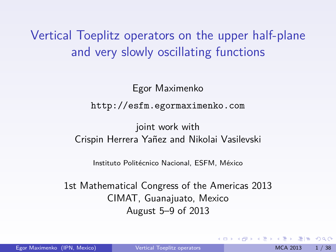Vertical Toeplitz operators on the upper half-plane and very slowly oscillating functions

> Egor Maximenko <http://esfm.egormaximenko.com>

joint work with

Crispin Herrera Yañez and Nikolai Vasilevski

<span id="page-0-0"></span>Instituto Politécnico Nacional, ESFM, México

1st Mathematical Congress of the Americas 2013 CIMAT, Guanajuato, Mexico August 5–9 of 2013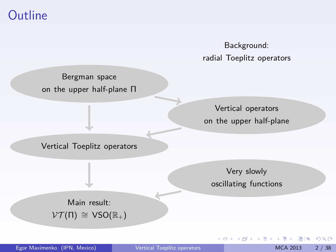## **Outline**

Background: radial Toeplitz operators

Bergman space on the upper half-plane Π

> Vertical operators on the upper half-plane

Vertical Toeplitz operators

Very slowly oscillating functions

4 0 8

Main result:  $\mathcal{V}\mathcal{T}(\Pi) \cong \mathsf{VSO}(\mathbb{R}_+)$ 

 $E|E \cap Q$ 

医电子 医重子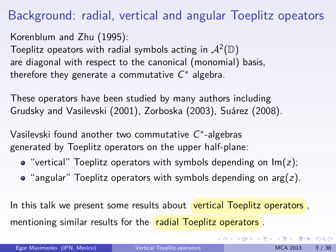## Background: radial, vertical and angular Toeplitz opeators

Korenblum and Zhu (1995): Toeplitz opeators with radial symbols acting in  $\mathcal{A}^2(\mathbb{D})$ are diagonal with respect to the canonical (monomial) basis, therefore they generate a commutative  $C^*$  algebra.

These operators have been studied by many authors including Grudsky and Vasilevski (2001), Zorboska (2003), Suárez (2008).

Vasilevski found another two commutative  $C^*$ -algebras generated by Toeplitz operators on the upper half-plane:

- $\bullet$  "vertical" Toeplitz operators with symbols depending on  $Im(z)$ ;
- $\bullet$  "angular" Toeplitz operators with symbols depending on arg(z).

In this talk we present some results about vertical Toeplitz operators, mentioning similar results for the radial Toeplitz operators.

<span id="page-2-0"></span>K ロ ▶ K 個 ▶ K 로 ▶ K 로 ▶ 그리도 YO Q @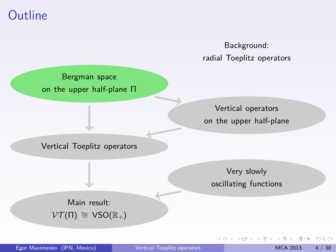## **Outline**



<span id="page-3-0"></span>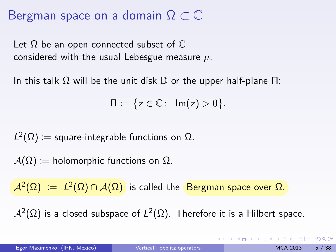## Bergman space on a domain  $\Omega \subset \mathbb{C}$

Let  $\Omega$  be an open connected subset of  $\mathbb C$ considered with the usual Lebesgue measure *µ*.

In this talk  $\Omega$  will be the unit disk  $\mathbb D$  or the upper half-plane  $\Pi$ :

$$
\Pi \coloneqq \{z \in \mathbb{C} \colon \operatorname{Im}(z) > 0\}.
$$

 $L^2(\Omega) \coloneqq$  square-integrable functions on  $\Omega$ .

 $A(\Omega) =$  holomorphic functions on  $\Omega$ .

 $\mathcal{A}^2(\Omega) \ := \ L^2(\Omega) \cap \mathcal{A}(\Omega) \, \, \, \text{is called the } \, \, \text{Bergman space over } \Omega.$ 

 $\mathcal{A}^{2}(\Omega)$  is a closed subspace of  $L^{2}(\Omega).$  Therefore it is a Hilbert space.

KOD KARD KED KED EN AGA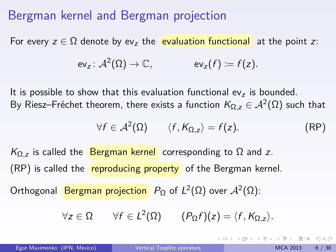## Bergman kernel and Bergman projection

For every  $z \in \Omega$  denote by ev<sub>z</sub> the **evaluation functional** at the point z:

$$
\text{ev}_z \colon \mathcal{A}^2(\Omega) \to \mathbb{C}, \quad \text{ev}_z(f) \coloneqq f(z).
$$

It is possible to show that this evaluation functional  $ev<sub>z</sub>$  is bounded. By Riesz–Fréchet theorem, there exists a function  $\mathsf{K}_{\Omega,z} \in \mathcal{A}^{2}(\Omega)$  such that

$$
\forall f \in \mathcal{A}^2(\Omega) \qquad \langle f, K_{\Omega, z} \rangle = f(z). \tag{RP}
$$

 $K_{\Omega,z}$  is called the Bergman kernel corresponding to  $\Omega$  and z.  $(RP)$  is called the **reproducing property** of the Bergman kernel.

Orthogonal <mark>Bergman projection</mark>  $P_{\Omega}$  of  $L^2(\Omega)$  over  $\mathcal{A}^2(\Omega)$ :

$$
\forall z \in \Omega \qquad \forall f \in L^2(\Omega) \qquad (P_{\Omega} f)(z) = \langle f, K_{\Omega, z} \rangle.
$$

<span id="page-5-0"></span>KOD KARD KED KED EIE VAA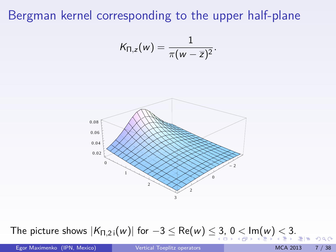## Bergman kernel corresponding to the upper half-plane

$$
\mathcal{K}_{\Pi, z}(w) = \frac{1}{\pi (w - \overline{z})^2}.
$$



# The picture sho[w](#page-8-0)s  $|K_{\Pi,2}$   $(iw)|$  $(iw)|$  $(iw)|$  $(iw)|$  for  $-3 \leq \text{Re}(w) \leq 3, 0 \leq \text{Im}(w) \leq 3.$  $-3 \leq \text{Re}(w) \leq 3, 0 \leq \text{Im}(w) \leq 3.$  $-3 \leq \text{Re}(w) \leq 3, 0 \leq \text{Im}(w) \leq 3.$  $-3 \leq \text{Re}(w) \leq 3, 0 \leq \text{Im}(w) \leq 3.$  $-3 \leq \text{Re}(w) \leq 3, 0 \leq \text{Im}(w) \leq 3.$  $-3 \leq \text{Re}(w) \leq 3, 0 \leq \text{Im}(w) \leq 3.$  $-3 \leq \text{Re}(w) \leq 3, 0 \leq \text{Im}(w) \leq 3.$  $-3 \leq \text{Re}(w) \leq 3, 0 \leq \text{Im}(w) \leq 3.$  $-3 \leq \text{Re}(w) \leq 3, 0 \leq \text{Im}(w) \leq 3.$

Egor Maximenko (IPN, Mexico) and [Vertical Toeplitz operators](#page-0-0) MCA 2013 7 / 38

<span id="page-6-0"></span> $ORO$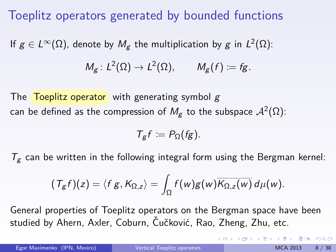## Toeplitz operators generated by bounded functions

If  $g\in L^\infty(\Omega)$ , denote by  $M_g$  the multiplication by  $g$  in  $L^2(\Omega)$ :

$$
M_g\colon L^2(\Omega)\to L^2(\Omega),\qquad M_g(f)\coloneqq fg.
$$

The **Toeplitz operator** with generating symbol  $g$ can be defined as the compression of  $M_{\bf g}$  to the subspace  $\mathcal{A}^2(\Omega)$ :

$$
T_g f := P_{\Omega}(fg).
$$

 $T_g$  can be written in the following integral form using the Bergman kernel:

$$
(\mathcal{T}_{g}f)(z)=\langle f g, K_{\Omega,z}\rangle=\int_{\Omega}f(w)g(w)\overline{K_{\Omega,z}(w)}\,d\mu(w).
$$

General properties of Toeplitz operators on the Bergman space have been studied by Ahern, Axler, Coburn, Čučković, Rao, Zheng, Zhu, etc.

Egor Maximenko (IPN, Mexico) [Vertical Toeplitz operators](#page-0-0) MCA 2013 8 / 38

<span id="page-7-0"></span>K ロ > K 個 > K ヨ > K ヨ > (ヨ = K) 9,00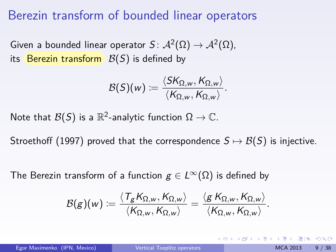## Berezin transform of bounded linear operators

Given a bounded linear operator  $S\colon \mathcal{A}^2(\Omega) \to \mathcal{A}^2(\Omega),$ its Berezin transform  $\mathcal{B}(S)$  is defined by

$$
\mathcal{B}(S)(w)\coloneqq\frac{\langle SK_{\Omega,w},K_{\Omega,w}\rangle}{\langle K_{\Omega,w},K_{\Omega,w}\rangle}.
$$

Note that  $\mathcal{B}(\mathcal{S})$  is a  $\mathbb{R}^2$ -analytic function  $\Omega\to\mathbb{C}.$ 

Stroethoff (1997) proved that the correspondence  $S \mapsto \mathcal{B}(S)$  is injective.

The Berezin transform of a function  $g \in L^{\infty}(\Omega)$  is defined by

$$
\mathcal{B}(g)(w)\coloneqq\frac{\langle T_gK_{\Omega,w},K_{\Omega,w}\rangle}{\langle K_{\Omega,w},K_{\Omega,w}\rangle}=\frac{\langle g\,K_{\Omega,w},K_{\Omega,w}\rangle}{\langle K_{\Omega,w},K_{\Omega,w}\rangle}.
$$

<span id="page-8-0"></span>KOD KARD KED KED EN AGA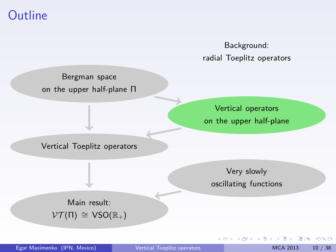## **Outline**



<span id="page-9-0"></span>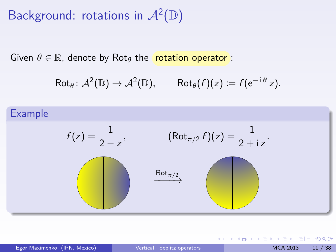# Background: rotations in  $\mathcal{A}^2(\mathbb{D})$

Given  $\theta \in \mathbb{R}$ , denote by Rot<sub> $\theta$ </sub> the **rotation operator**:

$$
\mathsf{Rot}_{\theta} \colon \mathcal{A}^2(\mathbb{D}) \to \mathcal{A}^2(\mathbb{D}), \qquad \mathsf{Rot}_{\theta}(f)(z) \coloneqq f(e^{-i\theta} z).
$$



K ロ > K 個 > K ヨ > K ヨ > (ヨ = K) 9,00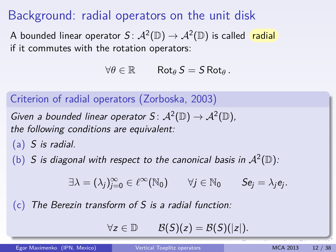## Background: radial operators on the unit disk

A bounded linear operator  $S\colon \mathcal{A}^2(\mathbb{D}) \to \mathcal{A}^2(\mathbb{D})$  is called r<mark>adial</mark> if it commutes with the rotation operators:

 $\forall \theta \in \mathbb{R}$  Rot<sub> $\theta$ </sub> S = S Rot<sub> $\theta$ </sub>.

Criterion of radial operators (Zorboska, 2003)

Given a bounded linear operator  $S \colon \mathcal{A}^2(\mathbb{D}) \to \mathcal{A}^2(\mathbb{D})$ , the following conditions are equivalent:

- (a) S is radial.
- (b) S is diagonal with respect to the canonical basis in  $\mathcal{A}^2(\mathbb{D})$ :

$$
\exists \lambda = (\lambda_j)_{j=0}^\infty \in \ell^\infty(\mathbb{N}_0) \qquad \forall j \in \mathbb{N}_0 \qquad Se_j = \lambda_j e_j.
$$

 $(c)$  The Berezin transform of S is a radial function:

<span id="page-11-0"></span> $\forall z \in \mathbb{D}$   $\mathcal{B}(S)(z) = \mathcal{B}(S)(|z|).$ 

Egor Maximenko (IPN, Mexico) [Vertical Toeplitz operators](#page-0-0) MCA 2013 12 / 38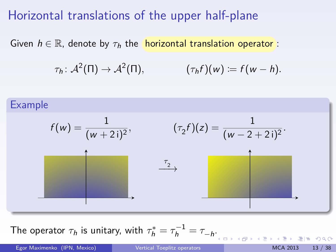## Horizontal translations of the upper half-plane

Given  $h \in \mathbb{R}$ , denote by  $\tau_h$  the **horizontal translation operator**:

 $\tau_h: \mathcal{A}^2(\Pi) \to \mathcal{A}^2(\Pi), \qquad \qquad (\tau_h f)(w) \coloneqq f(w-h).$ 



The operator  $\tau_h$  is unitary, with  $\tau_h^* = \tau_h^{-1} = \tau_{-h}$ [.](#page-11-0)

Egor Maximenko (IPN, Mexico) [Vertical Toeplitz operators](#page-0-0) MCA 2013 13 / 38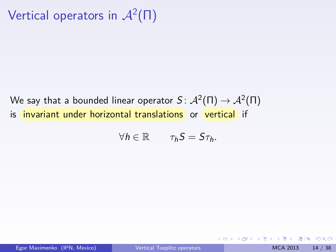# Vertical operators in  $\mathcal{A}^2(\Pi)$

We say that a bounded linear operator  $\mathcal{S} \colon \mathcal{A}^2(\Pi) \to \mathcal{A}^2(\Pi)$ is invariant under horizontal translations or vertical if

$$
\forall h\in\mathbb{R}\qquad \tau_h S=S\tau_h.
$$

K □ ▶ K 何 ▶ K 로 ▶ K 로 ▶ 그리는 K) Q (^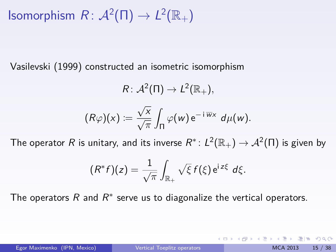Isomorphism  $R: \mathcal{A}^2(\Pi) \to L^2(\mathbb{R}_+)$ 

Vasilevski (1999) constructed an isometric isomorphism

$$
R: \mathcal{A}^2(\Pi) \to L^2(\mathbb{R}_+),
$$
  

$$
(R\varphi)(x) := \frac{\sqrt{x}}{\sqrt{\pi}} \int_{\Pi} \varphi(w) e^{-i \overline{w}x} d\mu(w).
$$

The operator  $R$  is unitary, and its inverse  $R^*\colon L^2(\mathbb{R}_+)\to \mathcal{A}^2(\Pi)$  is given by

$$
(R^*f)(z)=\frac{1}{\sqrt{\pi}}\int_{\mathbb{R}_+}\sqrt{\xi}\,f(\xi)\,\mathrm{e}^{\mathrm{i}\,z\xi}\,d\xi.
$$

The operators  $R$  and  $R^*$  serve us to diagonalize the vertical operators.

KED KARD KED KED ER YOUR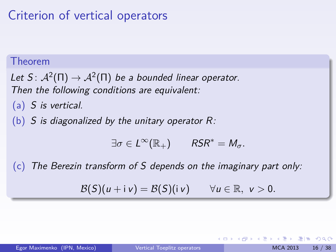# Criterion of vertical operators

#### Theorem

Let S:  $\mathcal{A}^2(\Pi) \to \mathcal{A}^2(\Pi)$  be a bounded linear operator. Then the following conditions are equivalent:

(a) S is vertical.

(b) S is diagonalized by the unitary operator  $R$ :

 $\exists \sigma \in L^{\infty}(\mathbb{R}_{+})$   $RSR^* = M_{\sigma}$ .

 $(c)$  The Berezin transform of S depends on the imaginary part only:

 $\mathcal{B}(S)(u + iv) = \mathcal{B}(S)(iv)$   $\forall u \in \mathbb{R}, v > 0.$ 

K □ ▶ K 何 ▶ K 로 ▶ K 로 ▶ 그리는 K) Q (^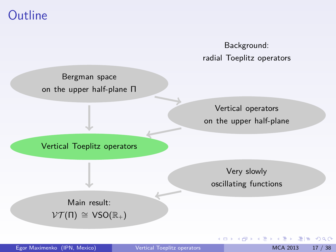## **Outline**



Bergman space on the upper half-plane Π

> Vertical operators on the upper half-plane

Vertical Toeplitz operators

Very slowly oscillating functions

4 0 8

Main result:  $\mathcal{V}\mathcal{T}(\Pi) \cong \mathsf{VSO}(\mathbb{R}_+)$ 

 $F = \Omega$ 

医电影 医重新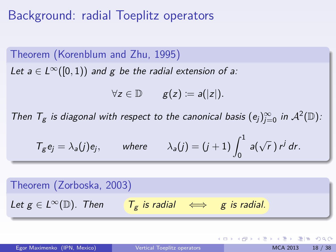## Background: radial Toeplitz operators

Theorem (Korenblum and Zhu, 1995) Let  $a \in L^{\infty}([0,1))$  and g be the radial extension of a:

 $\forall z \in \mathbb{D}$   $g(z) := a(|z|)$ .

Then  $T_g$  is diagonal with respect to the canonical basis  $(e_j)_{j=0}^{\infty}$  in  $\mathcal{A}^2(\mathbb{D})$ :

$$
T_g e_j = \lambda_a(j) e_j
$$
, where  $\lambda_a(j) = (j+1) \int_0^1 a(\sqrt{r}) r^j dr$ .

Theorem (Zorboska, 2003) Let  $g \in L^{\infty}(\mathbb{D})$ . Then  $\overline{T_g}$  is radial  $\iff$  g is radial.

Egor Maximenko (IPN, Mexico) [Vertical Toeplitz operators](#page-0-0) MCA 2013 18 / 38

K ロ > K 個 > K ヨ > K ヨ > (ヨ = K) 9,00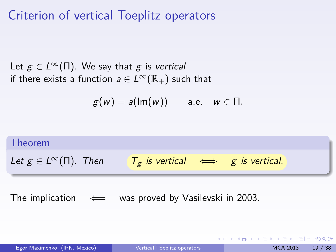## Criterion of vertical Toeplitz operators

Let  $g \in L^{\infty}(\Pi)$ . We say that g is vertical if there exists a function  $a \in L^{\infty}(\mathbb{R}_{+})$  such that

$$
g(w) = a(\text{Im}(w)) \quad \text{a.e.} \quad w \in \Pi.
$$

# Theorem Let  $g \in L^{\infty}(\Pi)$ . Then  $\tau_g$  is vertical  $\iff$  g is vertical.

The implication  $\iff$  was proved by Vasilevski in 2003.

Egor Maximenko (IPN, Mexico) [Vertical Toeplitz operators](#page-0-0) MCA 2013 19 / 38

KOD KARD KED KED EIE VAA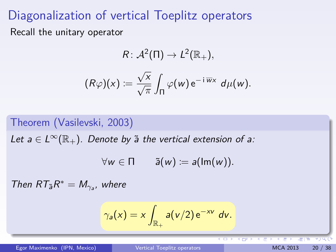## Diagonalization of vertical Toeplitz operators

Recall the unitary operator

$$
R: \mathcal{A}^2(\Pi) \to L^2(\mathbb{R}_+),
$$
  

$$
(R\varphi)(x) := \frac{\sqrt{x}}{\sqrt{\pi}} \int_{\Pi} \varphi(w) e^{-i \overline{w}x} d\mu(w).
$$

#### Theorem (Vasilevski, 2003)

Let  $a \in L^{\infty}(\mathbb{R}_{+})$ . Denote by  $\tilde{a}$  the vertical extension of a:

$$
\forall w \in \Pi \qquad \tilde{a}(w) \coloneqq a(\text{Im}(w)).
$$

Then  $RT_{\tilde{a}}R^* = M_{\gamma_a}$ , where

$$
\gamma_a(x)=x\int_{\mathbb{R}_+}a(v/2)\,\mathrm{e}^{-xv}\;dv.
$$

Egor Maximenko (IPN, Mexico) and [Vertical Toeplitz operators](#page-0-0) MCA 2013 20 / 38

**COL**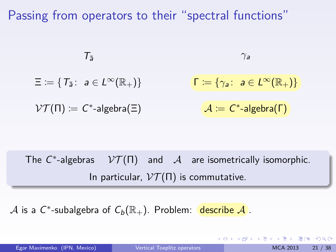Passing from operators to their "spectral functions"

$$
T_{\tilde{a}} \qquad \qquad \gamma_a
$$
  

$$
\Xi := \{ T_{\tilde{a}} \colon a \in L^{\infty}(\mathbb{R}_{+}) \} \qquad \qquad \Gamma := \{ \gamma_a \colon a \in L^{\infty}(\mathbb{R}_{+}) \}
$$
  

$$
\mathcal{V}\mathcal{T}(\Pi) := C^* \text{-algebra}(\Xi) \qquad \qquad \mathcal{A} := C^* \text{-algebra}(\Gamma)
$$

The  $C^*$ -algebras  $V\mathcal{T}(\Pi)$  and  $\mathcal{A}$  are isometrically isomorphic. In particular,  $V T(\Pi)$  is commutative.

 ${\mathcal A}$  is a  $C^*$ -subalgebra of  $C_b({\mathbb R}_+).$  Problem:  $|$  <mark>describe  ${\mathcal A}$ </mark> .

Egor Maximenko (IPN, Mexico) [Vertical Toeplitz operators](#page-0-0) MCA 2013 21 / 38

K ロ > K 個 > K ヨ > K ヨ > (ヨ = K) 9,00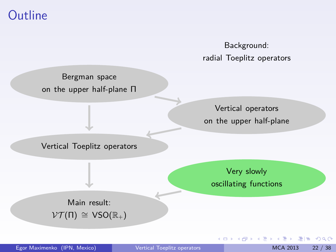## **Outline**

Background: radial Toeplitz operators

Bergman space on the upper half-plane Π

> Vertical operators on the upper half-plane

Vertical Toeplitz operators

Very slowly oscillating functions

4 0 8

Main result:  $\mathcal{V}\mathcal{T}(\Pi) \cong \mathsf{VSO}(\mathbb{R}_+)$ 

Egor Maximenko (IPN, Mexico) and [Vertical Toeplitz operators](#page-0-0) MCA 2013 22 / 38

 $F = \Omega$ 

医电影 医重新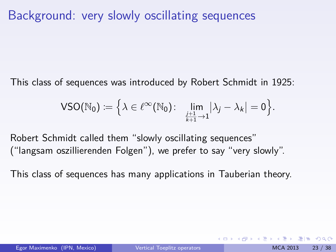## Background: very slowly oscillating sequences

This class of sequences was introduced by Robert Schmidt in 1925:

$$
\mathsf{VSO}(\mathbb{N}_0) \coloneqq \Big\{\lambda \in \ell^\infty(\mathbb{N}_0) \colon \ \lim_{\substack{j+1 \ \lambda_j \to 1}} |\lambda_j - \lambda_k| = 0 \Big\}.
$$

Robert Schmidt called them "slowly oscillating sequences" ("langsam oszillierenden Folgen"), we prefer to say "very slowly".

This class of sequences has many applications in Tauberian theory.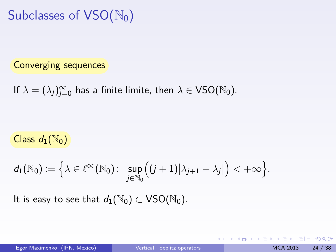Subclasses of  $VSO(N_0)$ 

#### Converging sequences

If 
$$
\lambda = (\lambda_j)_{j=0}^{\infty}
$$
 has a finite limit, then  $\lambda \in \text{VSO}(\mathbb{N}_0)$ .

#### Class  $d_1(\mathbb{N}_0)$

$$
d_1(\mathbb{N}_0) \coloneqq \Big\{\lambda \in \ell^\infty(\mathbb{N}_0) \colon \ \sup_{j \in \mathbb{N}_0} \Bigl( (j+1)|\lambda_{j+1} - \lambda_j| \Bigr) < +\infty \Big\}.
$$

It is easy to see that  $d_1(\mathbb{N}_0) \subset \text{VSO}(\mathbb{N}_0)$ .

K ロ ▶ K 御 ▶ K ヨ ▶ K ヨ ▶ [로] ≥ 19 Q @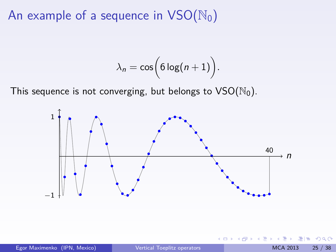An example of a sequence in  $VSO(N_0)$ 

$$
\lambda_n = \cos\Bigl(6\log(n+1)\Bigr).
$$

This sequence is not converging, but belongs to  $VSO(N_0)$ .



€⊡

 $Q \cap$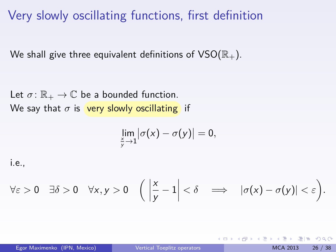Very slowly oscillating functions, first definition

We shall give three equivalent definitions of  $VSO(\mathbb{R}_+)$ .

Let  $\sigma: \mathbb{R}_+ \to \mathbb{C}$  be a bounded function. We say that  $\sigma$  is very slowly oscillating if

$$
\lim_{\frac{x}{y}\to 1}|\sigma(x)-\sigma(y)|=0,
$$

i.e.,

$$
\forall \varepsilon > 0 \quad \exists \delta > 0 \quad \forall x, y > 0 \quad \left( \left| \frac{x}{y} - 1 \right| < \delta \quad \Longrightarrow \quad |\sigma(x) - \sigma(y)| < \varepsilon \right).
$$

KED KARD KED KED EIE VAN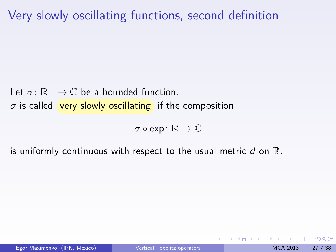## Very slowly oscillating functions, second definition

Let  $\sigma \colon \mathbb{R}_+ \to \mathbb{C}$  be a bounded function.  $\sigma$  is called very slowly oscillating if the composition

 $\sigma \circ \text{exp} \colon \mathbb{R} \to \mathbb{C}$ 

is uniformly continuous with respect to the usual metric  $d$  on  $\mathbb{R}$ .

KOD KARD KED KED EN AGA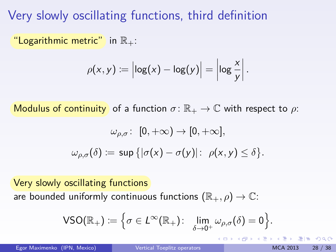Very slowly oscillating functions, third definition

"Logarithmic metric" in  $\mathbb{R}_+$ :

$$
\rho(x,y) := \left|\log(x) - \log(y)\right| = \left|\log \frac{x}{y}\right|.
$$

Modulus of continuity of a function  $\sigma: \mathbb{R}_+ \to \mathbb{C}$  with respect to  $\rho$ :

$$
\omega_{\rho,\sigma} \colon [0,+\infty) \to [0,+\infty],
$$
  

$$
\omega_{\rho,\sigma}(\delta) \coloneqq \sup \{ |\sigma(x) - \sigma(y)| \colon \rho(x,y) \leq \delta \}.
$$

Very slowly oscillating functions are bounded uniformly continuous functions  $(\mathbb{R}_+, \rho) \to \mathbb{C}$ :

$$
\mathsf{VSO}(\mathbb{R}_+) \coloneqq \Big\{ \sigma \in L^\infty(\mathbb{R}_+) \colon \lim_{\delta \to 0^+} \omega_{\rho,\sigma}(\delta) = 0 \Big\}.
$$

Egor Maximenko (IPN, Mexico) [Vertical Toeplitz operators](#page-0-0) MCA 2013 28 / 38

KOD KARD KED KED EIE VAA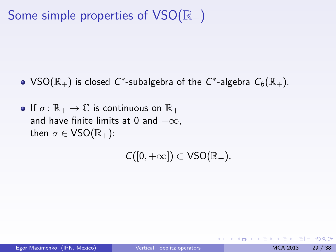# Some simple properties of  $VSO(\mathbb{R}_+)$

- $\mathsf{VSO}(\mathbb{R}_+)$  is closed  $\mathcal{C}^*$ -subalgebra of the  $\mathcal{C}^*$ -algebra  $\mathcal{C}_{b}(\mathbb{R}_+).$
- If  $\sigma: \mathbb{R}_+ \to \mathbb{C}$  is continuous on  $\mathbb{R}_+$ and have finite limits at 0 and  $+\infty$ . then  $\sigma \in \mathsf{VSO}(\mathbb{R}_+)$ :

 $C([0, +\infty]) \subset \text{VSO}(\mathbb{R}_+).$ 

KOD KARD KED KED EIE VAA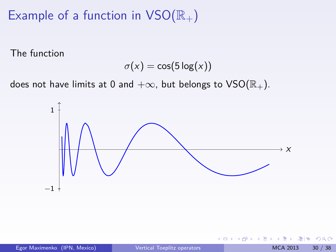# Example of a function in  $VSO(\mathbb{R}_+)$

The function

$$
\sigma(x) = \cos(5\log(x))
$$

does not have limits at 0 and  $+\infty$ , but belongs to VSO( $\mathbb{R}_+$ ).



4 0 8

 $QQQ$ 

너 혼 시계를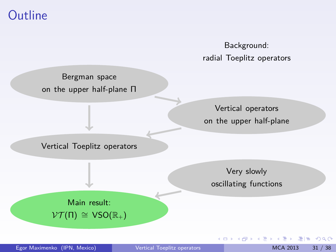## **Outline**

Background: radial Toeplitz operators

Bergman space on the upper half-plane Π

> Vertical operators on the upper half-plane

Vertical Toeplitz operators

Very slowly oscillating functions

4 0 8

Main result:  $\mathcal{V}\mathcal{T}(\Pi) \cong \mathsf{VSO}(\mathbb{R}_+)$ 

Egor Maximenko (IPN, Mexico) and [Vertical Toeplitz operators](#page-0-0) MCA 2013 31 / 38

 $F = \Omega$ 

医电影 医重新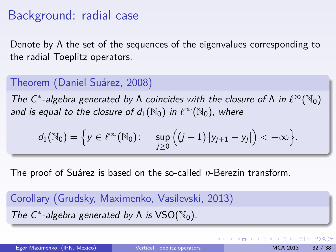## Background: radial case

Denote by  $\Lambda$  the set of the sequences of the eigenvalues corresponding to the radial Toeplitz operators.

### Theorem (Daniel Suárez, 2008)

The C<sup>\*</sup>-algebra generated by  $\Lambda$  coincides with the closure of  $\Lambda$  in  $\ell^{\infty}(\mathbb{N}_0)$ and is equal to the closure of  $d_1(\mathbb{N}_0)$  in  $\ell^{\infty}(\mathbb{N}_0)$ , where

$$
d_1(\mathbb{N}_0) = \Big\{ y \in \ell^\infty(\mathbb{N}_0) \colon \quad \sup_{j \geq 0} \Big( (j+1) \, \big| y_{j+1} - y_j \big| \Big) < +\infty \Big\}.
$$

The proof of Suárez is based on the so-called *n*-Berezin transform.

Corollary (Grudsky, Maximenko, Vasilevski, 2013) The  $C^*$ -algebra generated by  $\Lambda$  is  $\text{VSO}(\mathbb{N}_0)$ .

<span id="page-31-0"></span>K □ ▶ K 何 ▶ K 로 ▶ K 로 ▶ 그리는 K) Q (^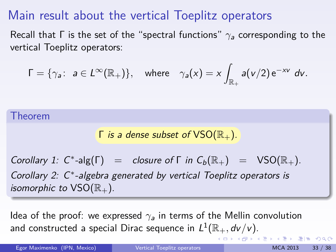## Main result about the vertical Toeplitz operators

Recall that Γ is the set of the "spectral functions" *γ*<sup>a</sup> corresponding to the vertical Toeplitz operators:

$$
\Gamma = \{ \gamma_a \colon a \in L^{\infty}(\mathbb{R}_+) \}, \quad \text{where} \quad \gamma_a(x) = x \int_{\mathbb{R}_+} a(v/2) e^{-xv} dv.
$$

Theorem

$$
\Gamma
$$
 is a dense subset of VSO( $\mathbb{R}_+$ ).

Corollary 1:  $C^*$ -alg( $\Gamma$ ) = closure of  $\Gamma$  in  $C_b(\mathbb{R}_+)$  =  $VSO(\mathbb{R}_+)$ . Corollary 2: C<sup>∗</sup> -algebra generated by vertical Toeplitz operators is isomorphic to  $VSO(\mathbb{R}_+)$ .

Idea of the proof: we expressed  $\gamma_a$  in terms of the Mellin convolution and constructed a special Dirac sequence in  $L^1(\mathbb{R}_+,d\nu/\nu).$  $L^1(\mathbb{R}_+,d\nu/\nu).$  $L^1(\mathbb{R}_+,d\nu/\nu).$ 

Egor Maximenko (IPN, Mexico) vertical Toeplitz operators MCA 2013 33 / 38

<span id="page-32-0"></span>

KOD KARD KED KED EIE VAA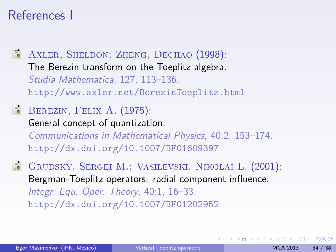## References I

AXLER, SHELDON; ZHENG, DECHAO (1998): The Berezin transform on the Toeplitz algebra. Studia Mathematica, 127, 113–136. <http://www.axler.net/BerezinToeplitz.html> BEREZIN, FELIX A. (1975): 譶 General concept of quantization. Communications in Mathematical Physics, 40:2, 153–174. <http://dx.doi.org/10.1007/BF01609397>

Grudsky, Sergei M.; Vasilevski, Nikolai L. (2001): Bergman-Toeplitz operators: radial component influence. Integr. Equ. Oper. Theory, 40:1, 16–33. <http://dx.doi.org/10.1007/BF01202952>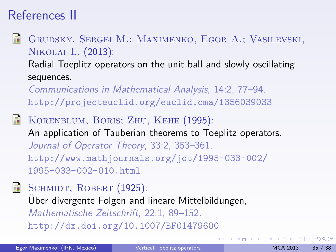# References II

Ħ Grudsky, Sergei M.; Maximenko, Egor A.; Vasilevski, Nikolai L. (2013):

Radial Toeplitz operators on the unit ball and slowly oscillating sequences.

Communications in Mathematical Analysis, 14:2, 77–94. <http://projecteuclid.org/euclid.cma/1356039033>

Korenblum, Boris; Zhu, Kehe (1995): An application of Tauberian theorems to Toeplitz operators. Journal of Operator Theory, 33:2, 353–361. [http://www.mathjournals.org/jot/1995-033-002/](http://www.mathjournals.org/jot/1995-033-002/1995-033-002-010.html) [1995-033-002-010.html](http://www.mathjournals.org/jot/1995-033-002/1995-033-002-010.html)



 $\blacksquare$  SCHMIDT, ROBERT (1925):

Uber divergente Folgen and lineare Mittelbildungen, ¨ Mathematische Zeitschrift, 22:1, 89–152. <http://dx.doi.org/10.1007/BF01479600>

KOD KARD KED KED EIE VAA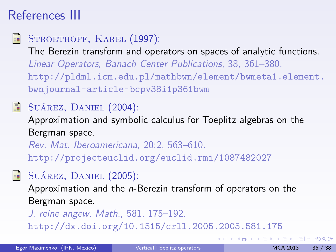# References III

### F

## STROETHOFF, KAREL (1997):

The Berezin transform and operators on spaces of analytic functions. Linear Operators, Banach Center Publications, 38, 361–380. [http://pldml.icm.edu.pl/mathbwn/element/bwmeta1.element.](http://pldml.icm.edu.pl/mathbwn/element/bwmeta1.element.bwnjournal-article-bcpv38i1p361bwm) [bwnjournal-article-bcpv38i1p361bwm](http://pldml.icm.edu.pl/mathbwn/element/bwmeta1.element.bwnjournal-article-bcpv38i1p361bwm)

## $\Box$  SUÁREZ, DANIEL  $(2004)$ :

Approximation and symbolic calculus for Toeplitz algebras on the Bergman space.

Rev. Mat. Iberoamericana, 20:2, 563–610. <http://projecteuclid.org/euclid.rmi/1087482027>

## SUÁREZ, DANIEL (2005):

Approximation and the *n*-Berezin transform of operators on the Bergman space.

J. reine angew. Math., 581, 175–192.

<http://dx.doi.org/10.1515/crll.2005.2005.581.175>

K ロ > K 個 > K ヨ > K ヨ > (ヨ = K) 9,00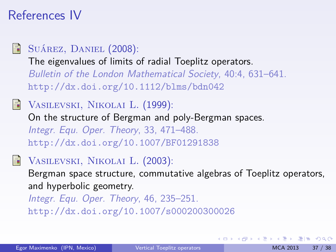## References IV

## R

### SUÁREZ, DANIEL (2008):

The eigenvalues of limits of radial Toeplitz operators. Bulletin of the London Mathematical Society, 40:4, 631–641. <http://dx.doi.org/10.1112/blms/bdn042>



Vasilevski, Nikolai L. (1999): On the structure of Bergman and poly-Bergman spaces. Integr. Equ. Oper. Theory, 33, 471–488. <http://dx.doi.org/10.1007/BF01291838>



VASILEVSKI, NIKOLAI L. (2003): Bergman space structure, commutative algebras of Toeplitz operators, and hyperbolic geometry.

Integr. Equ. Oper. Theory, 46, 235–251. <http://dx.doi.org/10.1007/s000200300026>

K □ ▶ K 何 ▶ K 로 ▶ K 로 ▶ 그리는 K) Q (^